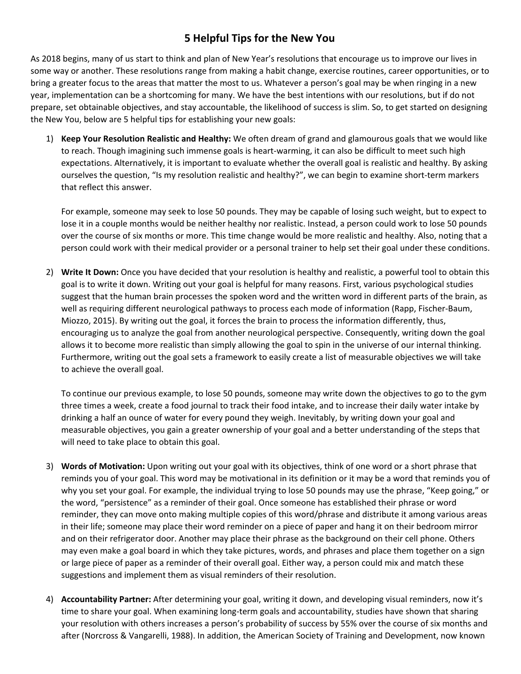## **5 Helpful Tips for the New You**

As 2018 begins, many of us start to think and plan of New Year's resolutions that encourage us to improve our lives in some way or another. These resolutions range from making a habit change, exercise routines, career opportunities, or to bring a greater focus to the areas that matter the most to us. Whatever a person's goal may be when ringing in a new year, implementation can be a shortcoming for many. We have the best intentions with our resolutions, but if do not prepare, set obtainable objectives, and stay accountable, the likelihood of success is slim. So, to get started on designing the New You, below are 5 helpful tips for establishing your new goals:

1) **Keep Your Resolution Realistic and Healthy:** We often dream of grand and glamourous goals that we would like to reach. Though imagining such immense goals is heart-warming, it can also be difficult to meet such high expectations. Alternatively, it is important to evaluate whether the overall goal is realistic and healthy. By asking ourselves the question, "Is my resolution realistic and healthy?", we can begin to examine short-term markers that reflect this answer.

For example, someone may seek to lose 50 pounds. They may be capable of losing such weight, but to expect to lose it in a couple months would be neither healthy nor realistic. Instead, a person could work to lose 50 pounds over the course of six months or more. This time change would be more realistic and healthy. Also, noting that a person could work with their medical provider or a personal trainer to help set their goal under these conditions.

2) **Write It Down:** Once you have decided that your resolution is healthy and realistic, a powerful tool to obtain this goal is to write it down. Writing out your goal is helpful for many reasons. First, various psychological studies suggest that the human brain processes the spoken word and the written word in different parts of the brain, as well as requiring different neurological pathways to process each mode of information (Rapp, Fischer-Baum, Miozzo, 2015). By writing out the goal, it forces the brain to process the information differently, thus, encouraging us to analyze the goal from another neurological perspective. Consequently, writing down the goal allows it to become more realistic than simply allowing the goal to spin in the universe of our internal thinking. Furthermore, writing out the goal sets a framework to easily create a list of measurable objectives we will take to achieve the overall goal.

To continue our previous example, to lose 50 pounds, someone may write down the objectives to go to the gym three times a week, create a food journal to track their food intake, and to increase their daily water intake by drinking a half an ounce of water for every pound they weigh. Inevitably, by writing down your goal and measurable objectives, you gain a greater ownership of your goal and a better understanding of the steps that will need to take place to obtain this goal.

- 3) **Words of Motivation:** Upon writing out your goal with its objectives, think of one word or a short phrase that reminds you of your goal. This word may be motivational in its definition or it may be a word that reminds you of why you set your goal. For example, the individual trying to lose 50 pounds may use the phrase, "Keep going," or the word, "persistence" as a reminder of their goal. Once someone has established their phrase or word reminder, they can move onto making multiple copies of this word/phrase and distribute it among various areas in their life; someone may place their word reminder on a piece of paper and hang it on their bedroom mirror and on their refrigerator door. Another may place their phrase as the background on their cell phone. Others may even make a goal board in which they take pictures, words, and phrases and place them together on a sign or large piece of paper as a reminder of their overall goal. Either way, a person could mix and match these suggestions and implement them as visual reminders of their resolution.
- 4) **Accountability Partner:** After determining your goal, writing it down, and developing visual reminders, now it's time to share your goal. When examining long-term goals and accountability, studies have shown that sharing your resolution with others increases a person's probability of success by 55% over the course of six months and after (Norcross & Vangarelli, 1988). In addition, the American Society of Training and Development, now known